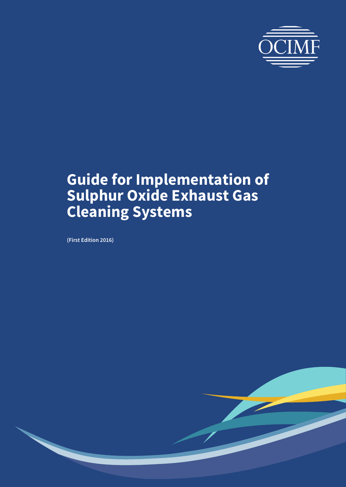

**(First Edition 2016)**

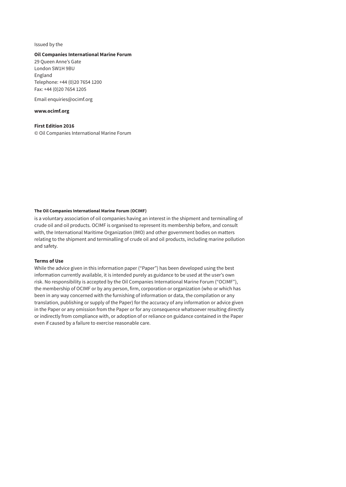#### Issued by the

#### **Oil Companies International Marine Forum**

29 Queen Anne's Gate London SW1H 9BU England Telephone: +44 (0)20 7654 1200 Fax: +44 (0)20 7654 1205

Email [enquiries@ocimf.org](mailto:enquiries@ocimf.org)

#### **[www.ocimf.org](http://www.ocimf.org)**

**First Edition 2016** © Oil Companies International Marine Forum

#### **The Oil Companies International Marine Forum (OCIMF)**

is a voluntary association of oil companies having an interest in the shipment and terminalling of crude oil and oil products. OCIMF is organised to represent its membership before, and consult with, the International Maritime Organization (IMO) and other government bodies on matters relating to the shipment and terminalling of crude oil and oil products, including marine pollution and safety.

#### **Terms of Use**

While the advice given in this information paper ("Paper") has been developed using the best information currently available, it is intended purely as guidance to be used at the user's own risk. No responsibility is accepted by the Oil Companies International Marine Forum ("OCIMF"), the membership of OCIMF or by any person, firm, corporation or organization (who or which has been in any way concerned with the furnishing of information or data, the compilation or any translation, publishing or supply of the Paper) for the accuracy of any information or advice given in the Paper or any omission from the Paper or for any consequence whatsoever resulting directly or indirectly from compliance with, or adoption of or reliance on guidance contained in the Paper even if caused by a failure to exercise reasonable care.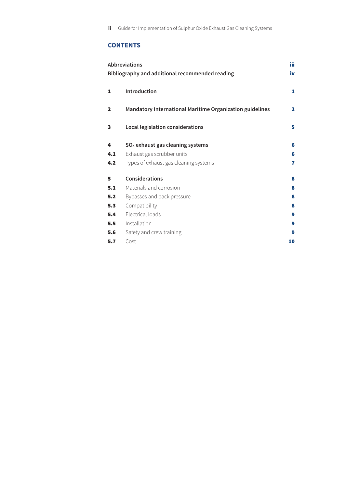# **CONTENTS**

| Abbreviations<br>Bibliography and additional recommended reading |                                                          | <b>iii</b><br>iv |
|------------------------------------------------------------------|----------------------------------------------------------|------------------|
| 1                                                                | Introduction                                             | 1                |
| $\overline{\mathbf{2}}$                                          | Mandatory International Maritime Organization guidelines | $\mathbf{2}$     |
| 3                                                                | Local legislation considerations                         | 5                |
| 4                                                                | SO <sub>x</sub> exhaust gas cleaning systems             | 6                |
| 4.1                                                              | Exhaust gas scrubber units                               | 6                |
| 4.2                                                              | Types of exhaust gas cleaning systems                    | 7                |
| 5                                                                | Considerations                                           | 8                |
| 5.1                                                              | Materials and corrosion                                  | 8                |
| 5.2                                                              | Bypasses and back pressure                               | 8                |
| 5.3                                                              | Compatibility                                            | 8                |
| 5.4                                                              | Electrical loads                                         | 9                |
| 5.5                                                              | Installation                                             | 9                |
| 5.6                                                              | Safety and crew training                                 | 9                |
| 5.7                                                              | Cost                                                     | 10               |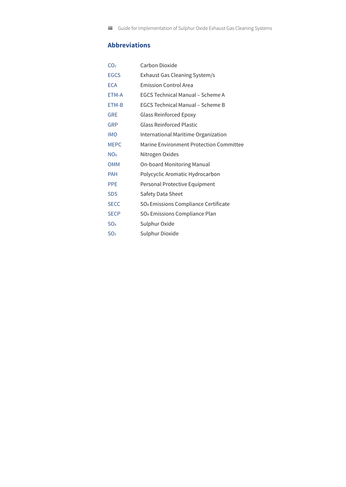# **Abbreviations**

| CO <sub>2</sub>       | Carbon Dioxide                                   |
|-----------------------|--------------------------------------------------|
| EGCS                  | Exhaust Gas Cleaning System/s                    |
| <b>FCA</b>            | <b>Emission Control Area</b>                     |
| ETM-A                 | <b>EGCS Technical Manual - Scheme A</b>          |
| ETM-B                 | EGCS Technical Manual - Scheme B                 |
| <b>GRE</b>            | <b>Glass Reinforced Epoxy</b>                    |
| <b>GRP</b>            | <b>Glass Reinforced Plastic</b>                  |
| <b>IMO</b>            | International Maritime Organization              |
| <b>MEPC</b>           | Marine Environment Protection Committee          |
| <b>NO<sub>x</sub></b> | Nitrogen Oxides                                  |
| <b>OMM</b>            | <b>On-board Monitoring Manual</b>                |
| <b>PAH</b>            | Polycyclic Aromatic Hydrocarbon                  |
| <b>PPE</b>            | Personal Protective Equipment                    |
| <b>SDS</b>            | Safety Data Sheet                                |
| <b>SECC</b>           | SO <sub>x</sub> Emissions Compliance Certificate |
| <b>SECP</b>           | SO <sub>x</sub> Emissions Compliance Plan        |
| SO <sub>x</sub>       | Sulphur Oxide                                    |
| SO <sub>2</sub>       | Sulphur Dioxide                                  |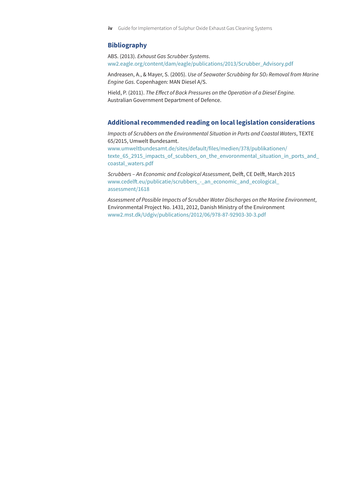## <span id="page-4-0"></span>**Bibliography**

ABS. (2013). *Exhaust Gas Scrubber Systems*. [ww2.eagle.org/content/dam/eagle/publications/2013/Scrubber\\_Advisory.pdf](http://ww2.eagle.org/content/dam/eagle/publications/2013/Scrubber_Advisory.pdf)

Andreasen, A., & Mayer, S. (2005). *Use of Seawater Scrubbing for SO2 Removal from Marine Engine Gas*. Copenhagen: MAN Diesel A/S.

Hield, P. (2011). *The Effect of Back Pressures on the Operation of a Diesel Engine.* Australian Government Department of Defence.

#### **Additional recommended reading on local legislation considerations**

*Impacts of Scrubbers on the Environmental Situation in Ports and Coastal Waters*, TEXTE 65/2015, Umwelt Bundesamt. [www.umweltbundesamt.de/sites/default/files/medien/378/publikationen/](http://www.umweltbundesamt.de/sites/default/files/medien/378/publikationen/texte_65_2915_impacts_of_scubbers_on_the_envoronmental_situation_in_ports_and_coastal_waters.pdf) [texte\\_65\\_2915\\_impacts\\_of\\_scubbers\\_on\\_the\\_envoronmental\\_situation\\_in\\_ports\\_and\\_](http://www.umweltbundesamt.de/sites/default/files/medien/378/publikationen/texte_65_2915_impacts_of_scubbers_on_the_envoronmental_situation_in_ports_and_coastal_waters.pdf) [coastal\\_waters.pdf](http://www.umweltbundesamt.de/sites/default/files/medien/378/publikationen/texte_65_2915_impacts_of_scubbers_on_the_envoronmental_situation_in_ports_and_coastal_waters.pdf)

*Scrubbers – An Economic and Ecological Assessment*, Delft, CE Delft, March 2015 [www.cedelft.eu/publicatie/scrubbers](http://www.cedelft.eu/publicatie/scrubbers)\_-\_an\_economic\_and\_ecological\_ assessment/1618

*Assessment of Possible Impacts of Scrubber Water Discharges on the Marine Environment*, Environmental Project No. 1431, 2012, Danish Ministry of the Environment [www2.mst.dk/Udgiv/publications/2012/06/978-87-92903-30-3.pdf](http://www2.mst.dk/Udgiv/publications/2012/06/978-87-92903-30-3.pdf)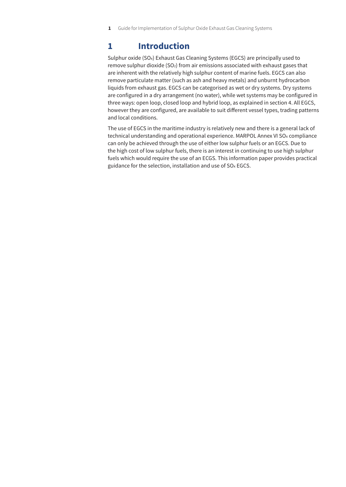# **1 Introduction**

Sulphur oxide (SOx) Exhaust Gas Cleaning Systems (EGCS) are principally used to remove sulphur dioxide (SO2) from air emissions associated with exhaust gases that are inherent with the relatively high sulphur content of marine fuels. EGCS can also remove particulate matter (such as ash and heavy metals) and unburnt hydrocarbon liquids from exhaust gas. EGCS can be categorised as wet or dry systems. Dry systems are configured in a dry arrangement (no water), while wet systems may be configured in three ways: open loop, closed loop and hybrid loop, as explained in [section 4](#page-10-0). All EGCS, however they are configured, are available to suit different vessel types, trading patterns and local conditions.

The use of EGCS in the maritime industry is relatively new and there is a general lack of technical understanding and operational experience. MARPOL Annex VI SO<sub>x</sub> compliance can only be achieved through the use of either low sulphur fuels or an EGCS. Due to the high cost of low sulphur fuels, there is an interest in continuing to use high sulphur fuels which would require the use of an ECGS. This information paper provides practical guidance for the selection, installation and use of SOx EGCS.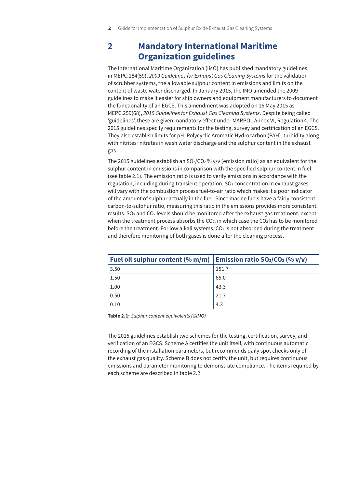# **2 Mandatory International Maritime Organization guidelines**

The International Maritime Organization (IMO) has published mandatory guidelines in MEPC.184(59), *2009 Guidelines for Exhaust Gas Cleaning Systems* for the validation of scrubber systems, the allowable sulphur content in emissions and limits on the content of waste water discharged. In January 2015, the IMO amended the 2009 guidelines to make it easier for ship owners and equipment manufacturers to document the functionality of an EGCS. This amendment was adopted on 15 May 2015 as MEPC.259(68), *2015 Guidelines for Exhaust Gas Cleaning Systems*. Despite being called 'guidelines', these are given mandatory effect under MARPOL Annex VI, Regulation 4. The 2015 guidelines specify requirements for the testing, survey and certification of an EGCS. They also establish limits for pH, Polycyclic Aromatic Hydrocarbon (PAH), turbidity along with nitrites+nitrates in wash water discharge and the sulphur content in the exhaust gas.

The 2015 guidelines establish an  $SO_2/CO_2$ % v/v (emission ratio) as an equivalent for the sulphur content in emissions in comparison with the specified sulphur content in fuel (see table 2.1). The emission ratio is used to verify emissions in accordance with the regulation, including during transient operation.  $SO<sub>2</sub>$  concentration in exhaust gases will vary with the combustion process fuel-to-air ratio which makes it a poor indicator of the amount of sulphur actually in the fuel. Since marine fuels have a fairly consistent carbon-to-sulphur ratio, measuring this ratio in the emissions provides more consistent results. SOx and CO2 levels should be monitored after the exhaust gas treatment, except when the treatment process absorbs the  $CO<sub>2</sub>$ , in which case the  $CO<sub>2</sub>$  has to be monitored before the treatment. For low alkali systems, CO<sub>2</sub> is not absorbed during the treatment and therefore monitoring of both gases is done after the cleaning process.

| Fuel oil sulphur content (% m/m)   Emission ratio $SO_2/CO_2$ (% v/v) |       |
|-----------------------------------------------------------------------|-------|
| 3.50                                                                  | 151.7 |
| 1.50                                                                  | 65.0  |
| 1.00                                                                  | 43.3  |
| 0.50                                                                  | 21.7  |
| 0.10                                                                  | 4.3   |

**Table 2.1:** *Sulphur content equivalents (©IMO)*

The 2015 guidelines establish two schemes for the testing, certification, survey, and verification of an EGCS. Scheme A certifies the unit itself, with continuous automatic recording of the installation parameters, but recommends daily spot checks only of the exhaust gas quality. Scheme B does not certify the unit, but requires continuous emissions and parameter monitoring to demonstrate compliance. The items required by each scheme are described in table 2.2.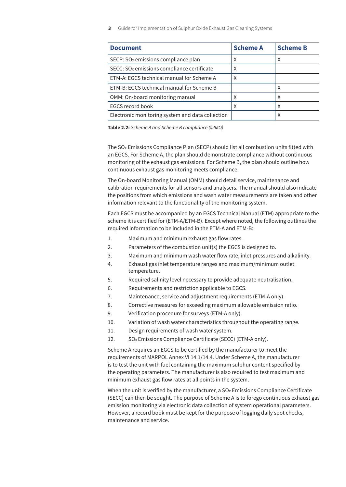| <b>Document</b>                                        | <b>Scheme A</b> | <b>Scheme B</b> |
|--------------------------------------------------------|-----------------|-----------------|
| SECP: SO <sub>x</sub> emissions compliance plan        | Χ               | Χ               |
| SECC: SO <sub>x</sub> emissions compliance certificate | X               |                 |
| ETM-A: EGCS technical manual for Scheme A              | X               |                 |
| ETM-B: EGCS technical manual for Scheme B              |                 | Χ               |
| OMM: On-board monitoring manual                        |                 | Χ               |
| <b>EGCS record book</b>                                | X               |                 |
| Electronic monitoring system and data collection       |                 |                 |

**Table 2.2:** *Scheme A and Scheme B compliance (©IMO)*

The SOx Emissions Compliance Plan (SECP) should list all combustion units fitted with an EGCS. For Scheme A, the plan should demonstrate compliance without continuous monitoring of the exhaust gas emissions. For Scheme B, the plan should outline how continuous exhaust gas monitoring meets compliance.

The On-board Monitoring Manual (OMM) should detail service, maintenance and calibration requirements for all sensors and analysers. The manual should also indicate the positions from which emissions and wash water measurements are taken and other information relevant to the functionality of the monitoring system.

Each EGCS must be accompanied by an EGCS Technical Manual (ETM) appropriate to the scheme it is certified for (ETM-A/ETM-B). Except where noted, the following outlines the required information to be included in the ETM-A and ETM-B:

- 1. Maximum and minimum exhaust gas flow rates.
- 2. Parameters of the combustion unit(s) the EGCS is designed to.
- 3. Maximum and minimum wash water flow rate, inlet pressures and alkalinity.
- 4. Exhaust gas inlet temperature ranges and maximum/minimum outlet temperature.
- 5. Required salinity level necessary to provide adequate neutralisation.
- 6. Requirements and restriction applicable to EGCS.
- 7. Maintenance, service and adjustment requirements (ETM-A only).
- 8. Corrective measures for exceeding maximum allowable emission ratio.
- 9. Verification procedure for surveys (ETM-A only).
- 10. Variation of wash water characteristics throughout the operating range.
- 11. Design requirements of wash water system.
- 12. SOx Emissions Compliance Certificate (SECC) (ETM-A only).

Scheme A requires an EGCS to be certified by the manufacturer to meet the requirements of MARPOL Annex VI 14.1/14.4. Under Scheme A, the manufacturer is to test the unit with fuel containing the maximum sulphur content specified by the operating parameters. The manufacturer is also required to test maximum and minimum exhaust gas flow rates at all points in the system.

When the unit is verified by the manufacturer, a  $SO<sub>x</sub>$  Emissions Compliance Certificate (SECC) can then be sought. The purpose of Scheme A is to forego continuous exhaust gas emission monitoring via electronic data collection of system operational parameters. However, a record book must be kept for the purpose of logging daily spot checks, maintenance and service.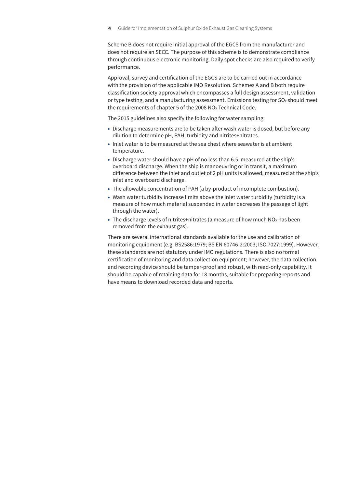Scheme B does not require initial approval of the EGCS from the manufacturer and does not require an SECC. The purpose of this scheme is to demonstrate compliance through continuous electronic monitoring. Daily spot checks are also required to verify performance.

Approval, survey and certification of the EGCS are to be carried out in accordance with the provision of the applicable IMO Resolution. Schemes A and B both require classification society approval which encompasses a full design assessment, validation or type testing, and a manufacturing assessment. Emissions testing for SOx should meet the requirements of chapter 5 of the 2008 NOx Technical Code.

The 2015 guidelines also specify the following for water sampling:

- Discharge measurements are to be taken after wash water is dosed, but before any dilution to determine pH, PAH, turbidity and nitrites+nitrates.
- Inlet water is to be measured at the sea chest where seawater is at ambient temperature.
- Discharge water should have a pH of no less than 6.5, measured at the ship's overboard discharge. When the ship is manoeuvring or in transit, a maximum difference between the inlet and outlet of 2 pH units is allowed, measured at the ship's inlet and overboard discharge.
- The allowable concentration of PAH (a by-product of incomplete combustion).
- Wash water turbidity increase limits above the inlet water turbidity (turbidity is a measure of how much material suspended in water decreases the passage of light through the water).
- The discharge levels of nitrites+nitrates (a measure of how much NO<sub>x</sub> has been removed from the exhaust gas).

There are several international standards available for the use and calibration of monitoring equipment (e.g. BS2586:1979; BS EN 60746-2:2003; ISO 7027:1999). However, these standards are not statutory under IMO regulations. There is also no formal certification of monitoring and data collection equipment; however, the data collection and recording device should be tamper-proof and robust, with read-only capability. It should be capable of retaining data for 18 months, suitable for preparing reports and have means to download recorded data and reports.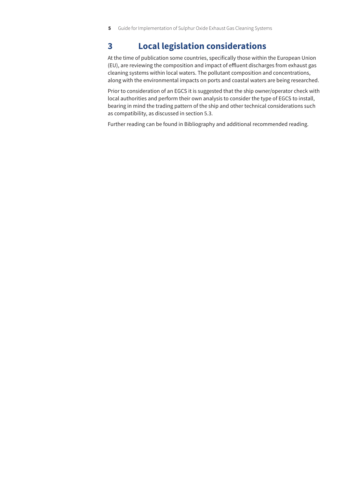# **3 Local legislation considerations**

At the time of publication some countries, specifically those within the European Union (EU), are reviewing the composition and impact of effluent discharges from exhaust gas cleaning systems within local waters. The pollutant composition and concentrations, along with the environmental impacts on ports and coastal waters are being researched.

Prior to consideration of an EGCS it is suggested that the ship owner/operator check with local authorities and perform their own analysis to consider the type of EGCS to install, bearing in mind the trading pattern of the ship and other technical considerations such as compatibility, as discussed in [section 5.3.](#page-12-0)

Further reading can be found in [Bibliography and additional recommended reading.](#page-4-0)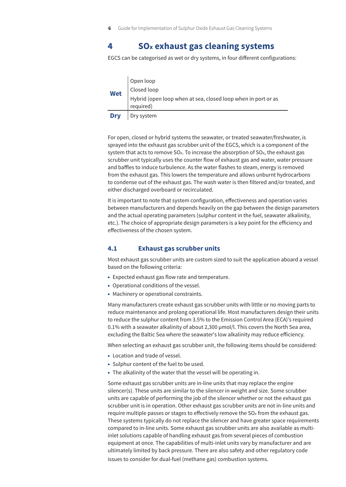# <span id="page-10-0"></span>**4 SOx exhaust gas cleaning systems**

EGCS can be categorised as wet or dry systems, in four different configurations:

| Wet        | Open loop<br>Closed loop<br>Hybrid (open loop when at sea, closed loop when in port or as<br>required) |
|------------|--------------------------------------------------------------------------------------------------------|
| <b>Dry</b> | Dry system                                                                                             |

For open, closed or hybrid systems the seawater, or treated seawater/freshwater, is sprayed into the exhaust gas scrubber unit of the EGCS, which is a component of the system that acts to remove  $SO<sub>x</sub>$ . To increase the absorption of  $SO<sub>x</sub>$ , the exhaust gas scrubber unit typically uses the counter flow of exhaust gas and water, water pressure and baffles to induce turbulence. As the water flashes to steam, energy is removed from the exhaust gas. This lowers the temperature and allows unburnt hydrocarbons to condense out of the exhaust gas. The wash water is then filtered and/or treated, and either discharged overboard or recirculated.

It is important to note that system configuration, effectiveness and operation varies between manufacturers and depends heavily on the gap between the design parameters and the actual operating parameters (sulphur content in the fuel, seawater alkalinity, etc.). The choice of appropriate design parameters is a key point for the efficiency and effectiveness of the chosen system.

### **4.1 Exhaust gas scrubber units**

Most exhaust gas scrubber units are custom sized to suit the application aboard a vessel based on the following criteria:

- Expected exhaust gas flow rate and temperature.
- Operational conditions of the vessel.
- Machinery or operational constraints.

Many manufacturers create exhaust gas scrubber units with little or no moving parts to reduce maintenance and prolong operational life. Most manufacturers design their units to reduce the sulphur content from 3.5% to the Emission Control Area (ECA)'s required 0.1% with a seawater alkalinity of about 2,300 µmol/l. This covers the North Sea area, excluding the Baltic Sea where the seawater's low alkalinity may reduce efficiency.

When selecting an exhaust gas scrubber unit, the following items should be considered:

- Location and trade of vessel.
- Sulphur content of the fuel to be used.
- The alkalinity of the water that the vessel will be operating in.

Some exhaust gas scrubber units are in-line units that may replace the engine silencer(s). These units are similar to the silencer in weight and size. Some scrubber units are capable of performing the job of the silencer whether or not the exhaust gas scrubber unit is in operation. Other exhaust gas scrubber units are not in-line units and require multiple passes or stages to effectively remove the SOx from the exhaust gas. These systems typically do not replace the silencer and have greater space requirements compared to in-line units. Some exhaust gas scrubber units are also available as multiinlet solutions capable of handling exhaust gas from several pieces of combustion equipment at once. The capabilities of multi-inlet units vary by manufacturer and are ultimately limited by back pressure. There are also safety and other regulatory code issues to consider for dual-fuel (methane gas) combustion systems.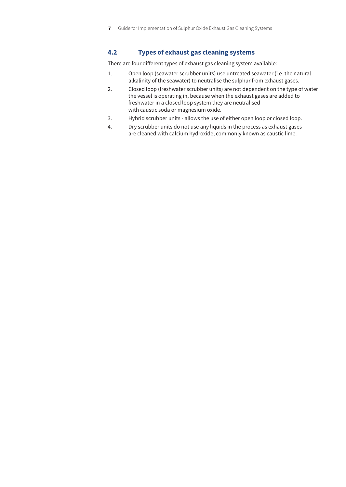# **4.2 Types of exhaust gas cleaning systems**

There are four different types of exhaust gas cleaning system available:

- 1. Open loop (seawater scrubber units) use untreated seawater (i.e. the natural alkalinity of the seawater) to neutralise the sulphur from exhaust gases.
- 2. Closed loop (freshwater scrubber units) are not dependent on the type of water the vessel is operating in, because when the exhaust gases are added to freshwater in a closed loop system they are neutralised with caustic soda or magnesium oxide.
- 3. Hybrid scrubber units allows the use of either open loop or closed loop.
- 4. Dry scrubber units do not use any liquids in the process as exhaust gases are cleaned with calcium hydroxide, commonly known as caustic lime.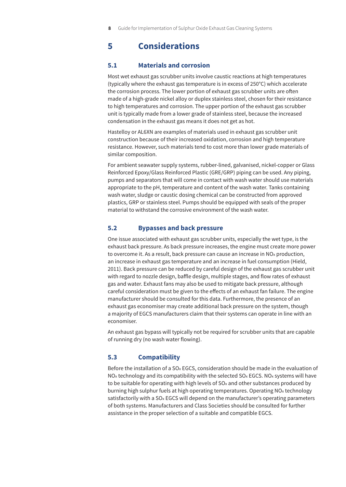# **5 Considerations**

# **5.1 Materials and corrosion**

Most wet exhaust gas scrubber units involve caustic reactions at high temperatures (typically where the exhaust gas temperature is in excess of 250°C) which accelerate the corrosion process. The lower portion of exhaust gas scrubber units are often made of a high-grade nickel alloy or duplex stainless steel, chosen for their resistance to high temperatures and corrosion. The upper portion of the exhaust gas scrubber unit is typically made from a lower grade of stainless steel, because the increased condensation in the exhaust gas means it does not get as hot.

Hastelloy or AL6XN are examples of materials used in exhaust gas scrubber unit construction because of their increased oxidation, corrosion and high temperature resistance. However, such materials tend to cost more than lower grade materials of similar composition.

For ambient seawater supply systems, rubber-lined, galvanised, nickel-copper or Glass Reinforced Epoxy/Glass Reinforced Plastic (GRE/GRP) piping can be used. Any piping, pumps and separators that will come in contact with wash water should use materials appropriate to the pH, temperature and content of the wash water. Tanks containing wash water, sludge or caustic dosing chemical can be constructed from approved plastics, GRP or stainless steel. Pumps should be equipped with seals of the proper material to withstand the corrosive environment of the wash water.

### **5.2 Bypasses and back pressure**

One issue associated with exhaust gas scrubber units, especially the wet type, is the exhaust back pressure. As back pressure increases, the engine must create more power to overcome it. As a result, back pressure can cause an increase in NOx production, an increase in exhaust gas temperature and an increase in fuel consumption (Hield, 2011). Back pressure can be reduced by careful design of the exhaust gas scrubber unit with regard to nozzle design, baffle design, multiple stages, and flow rates of exhaust gas and water. Exhaust fans may also be used to mitigate back pressure, although careful consideration must be given to the effects of an exhaust fan failure. The engine manufacturer should be consulted for this data. Furthermore, the presence of an exhaust gas economiser may create additional back pressure on the system, though a majority of EGCS manufacturers claim that their systems can operate in line with an economiser.

An exhaust gas bypass will typically not be required for scrubber units that are capable of running dry (no wash water flowing).

# <span id="page-12-0"></span>**5.3 [Compatibility](#page-12-0)**

Before the installation of a SOx EGCS, consideration should be made in the evaluation of NO<sub>x</sub> technology and its compatibility with the selected SO<sub>x</sub> EGCS. NO<sub>x</sub> systems will have to be suitable for operating with high levels of  $SO<sub>x</sub>$  and other substances produced by burning high sulphur fuels at high operating temperatures. Operating NOx technology satisfactorily with a SOx EGCS will depend on the manufacturer's operating parameters of both systems. Manufacturers and Class Societies should be consulted for further assistance in the proper selection of a suitable and compatible EGCS.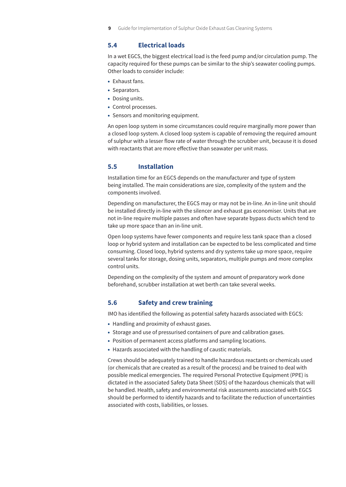## **5.4 Electrical loads**

In a wet EGCS, the biggest electrical load is the feed pump and/or circulation pump. The capacity required for these pumps can be similar to the ship's seawater cooling pumps. Other loads to consider include:

- Exhaust fans.
- Separators.
- Dosing units.
- Control processes.
- Sensors and monitoring equipment.

An open loop system in some circumstances could require marginally more power than a closed loop system. A closed loop system is capable of removing the required amount of sulphur with a lesser flow rate of water through the scrubber unit, because it is dosed with reactants that are more effective than seawater per unit mass.

### **5.5 Installation**

Installation time for an EGCS depends on the manufacturer and type of system being installed. The main considerations are size, complexity of the system and the components involved.

Depending on manufacturer, the EGCS may or may not be in-line. An in-line unit should be installed directly in-line with the silencer and exhaust gas economiser. Units that are not in-line require multiple passes and often have separate bypass ducts which tend to take up more space than an in-line unit.

Open loop systems have fewer components and require less tank space than a closed loop or hybrid system and installation can be expected to be less complicated and time consuming. Closed loop, hybrid systems and dry systems take up more space, require several tanks for storage, dosing units, separators, multiple pumps and more complex control units.

Depending on the complexity of the system and amount of preparatory work done beforehand, scrubber installation at wet berth can take several weeks.

### **5.6 Safety and crew training**

IMO has identified the following as potential safety hazards associated with EGCS:

- Handling and proximity of exhaust gases.
- Storage and use of pressurised containers of pure and calibration gases.
- Position of permanent access platforms and sampling locations.
- Hazards associated with the handling of caustic materials.

Crews should be adequately trained to handle hazardous reactants or chemicals used (or chemicals that are created as a result of the process) and be trained to deal with possible medical emergencies. The required Personal Protective Equipment (PPE) is dictated in the associated Safety Data Sheet (SDS) of the hazardous chemicals that will be handled. Health, safety and environmental risk assessments associated with EGCS should be performed to identify hazards and to facilitate the reduction of uncertainties associated with costs, liabilities, or losses.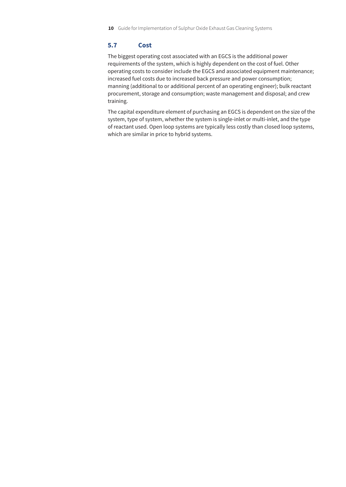# **5.7 Cost**

The biggest operating cost associated with an EGCS is the additional power requirements of the system, which is highly dependent on the cost of fuel. Other operating costs to consider include the EGCS and associated equipment maintenance; increased fuel costs due to increased back pressure and power consumption; manning (additional to or additional percent of an operating engineer); bulk reactant procurement, storage and consumption; waste management and disposal; and crew training.

The capital expenditure element of purchasing an EGCS is dependent on the size of the system, type of system, whether the system is single-inlet or multi-inlet, and the type of reactant used. Open loop systems are typically less costly than closed loop systems, which are similar in price to hybrid systems.